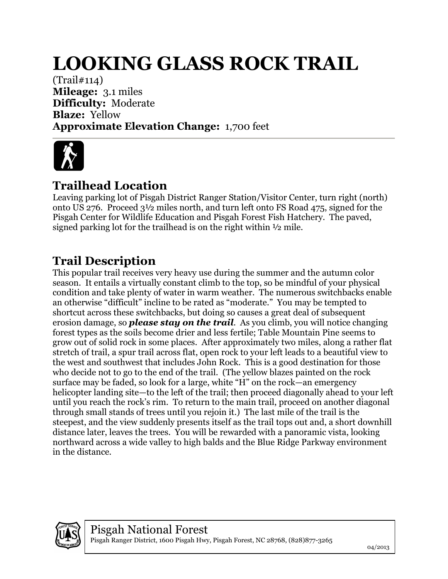## **LOOKING GLASS ROCK TRAIL**

(Trail#114) **Mileage:** 3.1 miles **Difficulty:** Moderate **Blaze:** Yellow **Approximate Elevation Change:** 1,700 feet



## **Trailhead Location**

Leaving parking lot of Pisgah District Ranger Station/Visitor Center, turn right (north) onto US 276. Proceed 3½ miles north, and turn left onto FS Road 475, signed for the Pisgah Center for Wildlife Education and Pisgah Forest Fish Hatchery. The paved, signed parking lot for the trailhead is on the right within ½ mile.

## **Trail Description**

This popular trail receives very heavy use during the summer and the autumn color season. It entails a virtually constant climb to the top, so be mindful of your physical condition and take plenty of water in warm weather. The numerous switchbacks enable an otherwise "difficult" incline to be rated as "moderate." You may be tempted to shortcut across these switchbacks, but doing so causes a great deal of subsequent erosion damage, so *please stay on the trail*. As you climb, you will notice changing forest types as the soils become drier and less fertile; Table Mountain Pine seems to grow out of solid rock in some places. After approximately two miles, along a rather flat stretch of trail, a spur trail across flat, open rock to your left leads to a beautiful view to the west and southwest that includes John Rock. This is a good destination for those who decide not to go to the end of the trail. (The yellow blazes painted on the rock surface may be faded, so look for a large, white "H" on the rock—an emergency helicopter landing site—to the left of the trail; then proceed diagonally ahead to your left until you reach the rock's rim. To return to the main trail, proceed on another diagonal through small stands of trees until you rejoin it.) The last mile of the trail is the steepest, and the view suddenly presents itself as the trail tops out and, a short downhill distance later, leaves the trees. You will be rewarded with a panoramic vista, looking northward across a wide valley to high balds and the Blue Ridge Parkway environment in the distance.